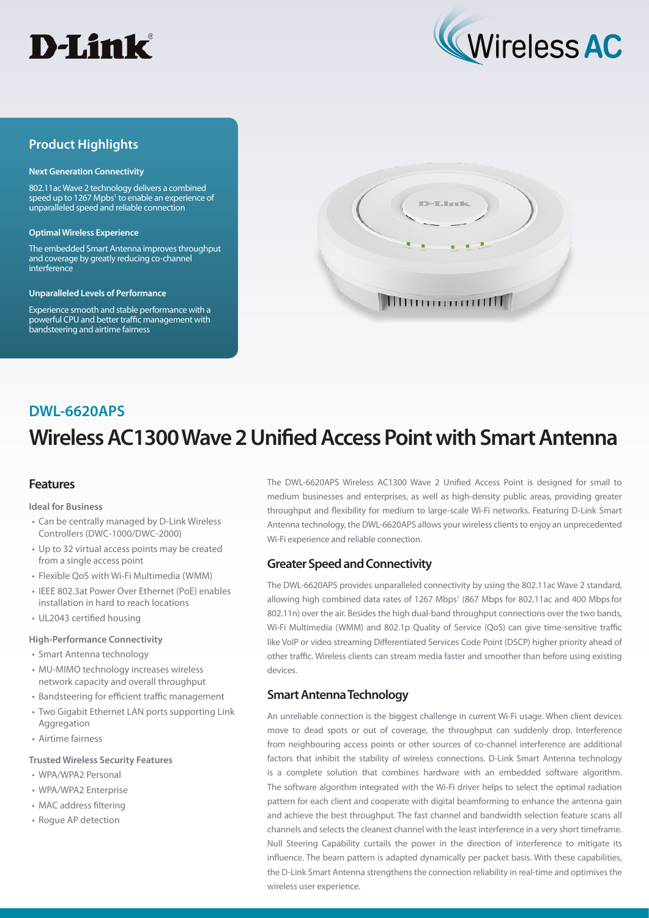



## **Product Highlights**

#### **Next Generation Connectivity**

802.11ac Wave 2 technology delivers a combined speed up to 1267 Mpbs<sup>1</sup> to enable an experience of unparalleled speed and reliable connection

#### **Optimal Wireless Experience**

The embedded Smart Antenna improves throughput and coverage by greatly reducing co-channel interference

#### **Unparalleled Levels of Performance**

Experience smooth and stable performance with a powerful CPU and better traffic management with bandsteering and airtime fairness



# **Wireless AC1300 Wave 2 Unified Access Point with Smart Antenna DWL-6620APS**

## **Features**

#### **Ideal for Business**

- Can be centrally managed by D-Link Wireless Controllers (DWC-1000/DWC-2000)
- Up to 32 virtual access points may be created from a single access point
- Flexible QoS with Wi-Fi Multimedia (WMM)
- IEEE 802.3at Power Over Ethernet (PoE) enables installation in hard to reach locations
- UL2043 certified housing

#### **High-Performance Connectivity**

- Smart Antenna technology
- MU-MIMO technology increases wireless network capacity and overall throughput
- Bandsteering for efficient traffic management
- Two Gigabit Ethernet LAN ports supporting Link Aggregation
- Airtime fairness

### **Trusted Wireless Security Features**

- WPA/WPA2 Personal
- WPA/WPA2 Enterprise
- MAC address filtering
- Rogue AP detection

The DWL-6620APS Wireless AC1300 Wave 2 Unified Access Point is designed for small to medium businesses and enterprises, as well as high-density public areas, providing greater throughput and flexibility for medium to large-scale Wi-Fi networks. Featuring D-Link Smart Antenna technology, the DWL-6620APS allows your wireless clients to enjoy an unprecedented Wi-Fi experience and reliable connection.

## **Greater Speed and Connectivity**

The DWL-6620APS provides unparalleled connectivity by using the 802.11ac Wave 2 standard, allowing high combined data rates of 1267 Mbps<sup>1</sup> (867 Mbps for 802.11ac and 400 Mbps for 802.11n) over the air. Besides the high dual-band throughput connections over the two bands, Wi-Fi Multimedia (WMM) and 802.1p Quality of Service (QoS) can give time-sensitive traffic like VoIP or video streaming Differentiated Services Code Point (DSCP) higher priority ahead of other traffic. Wireless clients can stream media faster and smoother than before using existing devices.

## **Smart Antenna Technology**

An unreliable connection is the biggest challenge in current Wi-Fi usage. When client devices move to dead spots or out of coverage, the throughput can suddenly drop. Interference from neighbouring access points or other sources of co-channel interference are additional factors that inhibit the stability of wireless connections. D-Link Smart Antenna technology is a complete solution that combines hardware with an embedded software algorithm. The software algorithm integrated with the Wi-Fi driver helps to select the optimal radiation pattern for each client and cooperate with digital beamforming to enhance the antenna gain and achieve the best throughput. The fast channel and bandwidth selection feature scans all channels and selects the cleanest channel with the least interference in a very short timeframe. Null Steering Capability curtails the power in the direction of interference to mitigate its influence. The beam pattern is adapted dynamically per packet basis. With these capabilities, the D-Link Smart Antenna strengthens the connection reliability in real-time and optimises the wireless user experience.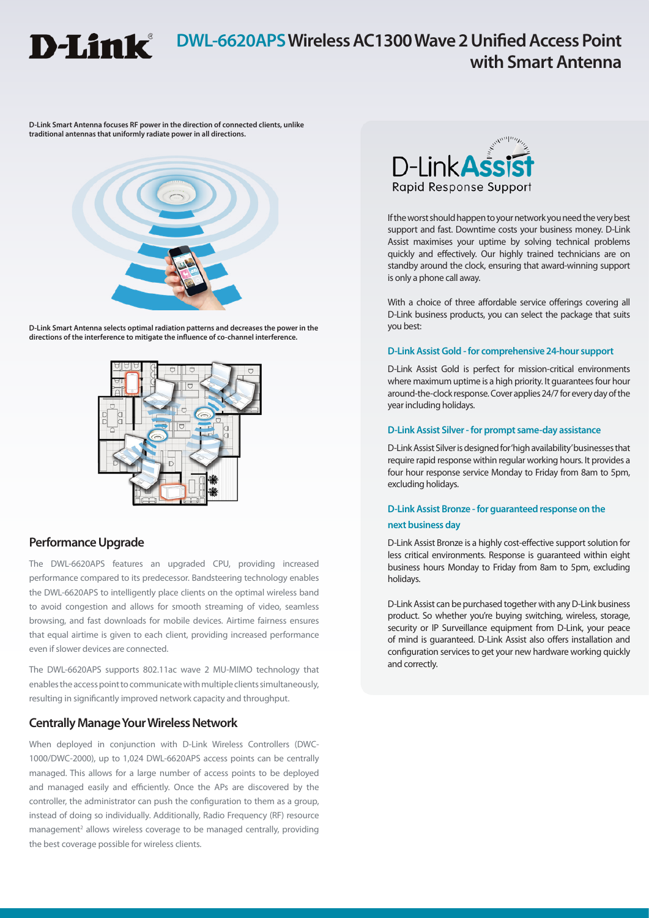

## **DWL-6620APS Wireless AC1300 Wave 2 Unified Access Point with Smart Antenna**

**D-Link Smart Antenna focuses RF power in the direction of connected clients, unlike traditional antennas that uniformly radiate power in all directions.**



**D-Link Smart Antenna selects optimal radiation patterns and decreases the power in the directions of the interference to mitigate the influence of co-channel interference.**



## **Performance Upgrade**

The DWL-6620APS features an upgraded CPU, providing increased performance compared to its predecessor. Bandsteering technology enables the DWL-6620APS to intelligently place clients on the optimal wireless band to avoid congestion and allows for smooth streaming of video, seamless browsing, and fast downloads for mobile devices. Airtime fairness ensures that equal airtime is given to each client, providing increased performance even if slower devices are connected.

The DWL-6620APS supports 802.11ac wave 2 MU-MIMO technology that enables the access point to communicate with multiple clients simultaneously, resulting in significantly improved network capacity and throughput.

## **Centrally Manage Your Wireless Network**

When deployed in conjunction with D-Link Wireless Controllers (DWC-1000/DWC-2000), up to 1,024 DWL-6620APS access points can be centrally managed. This allows for a large number of access points to be deployed and managed easily and efficiently. Once the APs are discovered by the controller, the administrator can push the configuration to them as a group, instead of doing so individually. Additionally, Radio Frequency (RF) resource management<sup>2</sup> allows wireless coverage to be managed centrally, providing the best coverage possible for wireless clients.



If the worst should happen to your network you need the very best support and fast. Downtime costs your business money. D-Link Assist maximises your uptime by solving technical problems quickly and effectively. Our highly trained technicians are on standby around the clock, ensuring that award-winning support is only a phone call away.

With a choice of three affordable service offerings covering all D-Link business products, you can select the package that suits you best:

### **D-Link Assist Gold - for comprehensive 24-hour support**

D-Link Assist Gold is perfect for mission-critical environments where maximum uptime is a high priority. It guarantees four hour around-the-clock response. Cover applies 24/7 for every day of the year including holidays.

### **D-Link Assist Silver - for prompt same-day assistance**

D-Link Assist Silver is designed for 'high availability' businesses that require rapid response within regular working hours. It provides a four hour response service Monday to Friday from 8am to 5pm, excluding holidays.

## **D-Link Assist Bronze - for guaranteed response on the next business day**

D-Link Assist Bronze is a highly cost-effective support solution for less critical environments. Response is guaranteed within eight business hours Monday to Friday from 8am to 5pm, excluding holidays.

D-Link Assist can be purchased together with any D-Link business product. So whether you're buying switching, wireless, storage, security or IP Surveillance equipment from D-Link, your peace of mind is guaranteed. D-Link Assist also offers installation and configuration services to get your new hardware working quickly and correctly.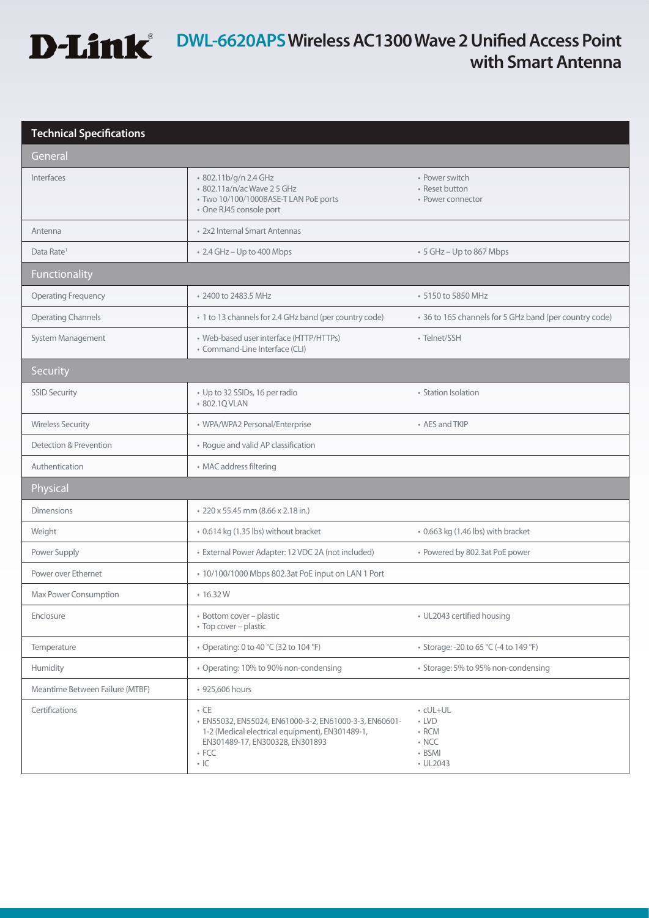

# **D-Link**<sup>®</sup> DWL-6620APS Wireless AC1300 Wave 2 Unified Access Point **with Smart Antenna**

## **Technical Specifications**

| General                         |                                                                                                                                                                                         |                                                                             |
|---------------------------------|-----------------------------------------------------------------------------------------------------------------------------------------------------------------------------------------|-----------------------------------------------------------------------------|
| Interfaces                      | · 802.11b/g/n 2.4 GHz<br>• 802.11a/n/ac Wave 2 5 GHz<br>· Two 10/100/1000BASE-T LAN PoE ports<br>· One RJ45 console port                                                                | • Power switch<br>• Reset button<br>• Power connector                       |
| Antenna                         | • 2x2 Internal Smart Antennas                                                                                                                                                           |                                                                             |
| Data Rate <sup>1</sup>          | • 2.4 GHz - Up to 400 Mbps                                                                                                                                                              | • 5 GHz - Up to 867 Mbps                                                    |
| Functionality                   |                                                                                                                                                                                         |                                                                             |
| <b>Operating Frequency</b>      | • 2400 to 2483.5 MHz                                                                                                                                                                    | • 5150 to 5850 MHz                                                          |
| <b>Operating Channels</b>       | • 1 to 13 channels for 2.4 GHz band (per country code)                                                                                                                                  | • 36 to 165 channels for 5 GHz band (per country code)                      |
| System Management               | • Web-based user interface (HTTP/HTTPs)<br>• Command-Line Interface (CLI)                                                                                                               | • Telnet/SSH                                                                |
| <b>Security</b>                 |                                                                                                                                                                                         |                                                                             |
| <b>SSID Security</b>            | • Up to 32 SSIDs, 16 per radio<br>• 802.1Q VLAN                                                                                                                                         | • Station Isolation                                                         |
| <b>Wireless Security</b>        | • WPA/WPA2 Personal/Enterprise                                                                                                                                                          | • AES and TKIP                                                              |
| Detection & Prevention          | • Rogue and valid AP classification                                                                                                                                                     |                                                                             |
| Authentication                  | • MAC address filtering                                                                                                                                                                 |                                                                             |
| Physical                        |                                                                                                                                                                                         |                                                                             |
| <b>Dimensions</b>               | • 220 x 55.45 mm (8.66 x 2.18 in.)                                                                                                                                                      |                                                                             |
| Weight                          | • 0.614 kg (1.35 lbs) without bracket                                                                                                                                                   | • 0.663 kg (1.46 lbs) with bracket                                          |
| Power Supply                    | · External Power Adapter: 12 VDC 2A (not included)                                                                                                                                      | • Powered by 802.3at PoE power                                              |
| Power over Ethernet             | • 10/100/1000 Mbps 802.3at PoE input on LAN 1 Port                                                                                                                                      |                                                                             |
| Max Power Consumption           | $\cdot$ 16.32 W                                                                                                                                                                         |                                                                             |
| Enclosure                       | · Bottom cover - plastic<br>• Top cover - plastic                                                                                                                                       | • UL2043 certified housing                                                  |
| Temperature                     | • Operating: 0 to 40 °C (32 to 104 °F)                                                                                                                                                  | • Storage: -20 to 65 °C (-4 to 149 °F)                                      |
| Humidity                        | • Operating: 10% to 90% non-condensing                                                                                                                                                  | • Storage: 5% to 95% non-condensing                                         |
| Meantime Between Failure (MTBF) | • 925,606 hours                                                                                                                                                                         |                                                                             |
| Certifications                  | $\cdot$ CE<br>· EN55032, EN55024, EN61000-3-2, EN61000-3-3, EN60601-<br>1-2 (Medical electrical equipment), EN301489-1,<br>EN301489-17, EN300328, EN301893<br>$\cdot$ FCC<br>$\cdot$ IC | • cUL+UL<br>$\cdot$ LVD<br>$\cdot$ RCM<br>$\cdot$ NCC<br>• BSMI<br>• UL2043 |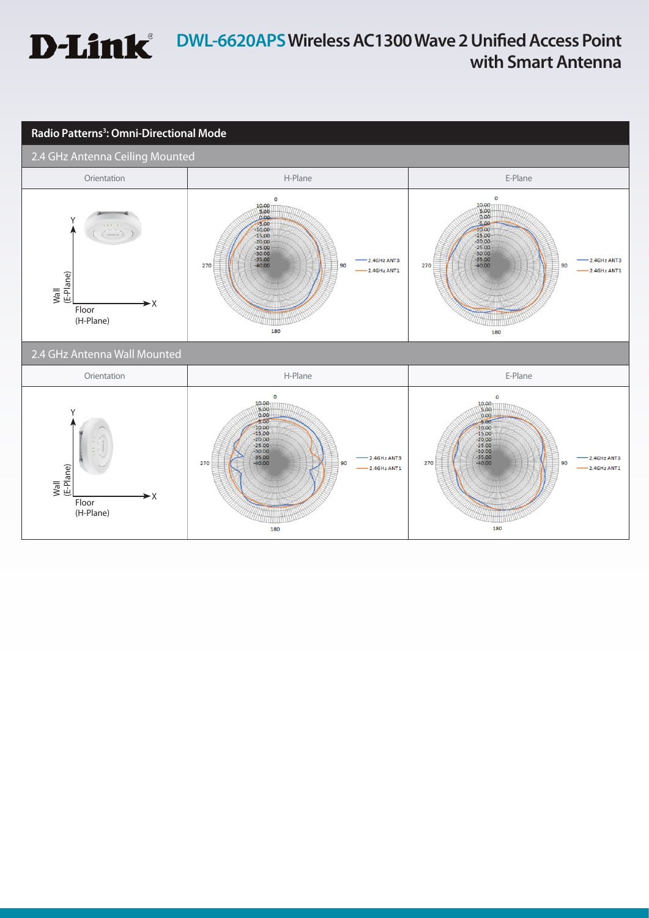## **DWL-6620APS Wireless AC1300 Wave 2 Unified Access Point D-Link with Smart Antenna**